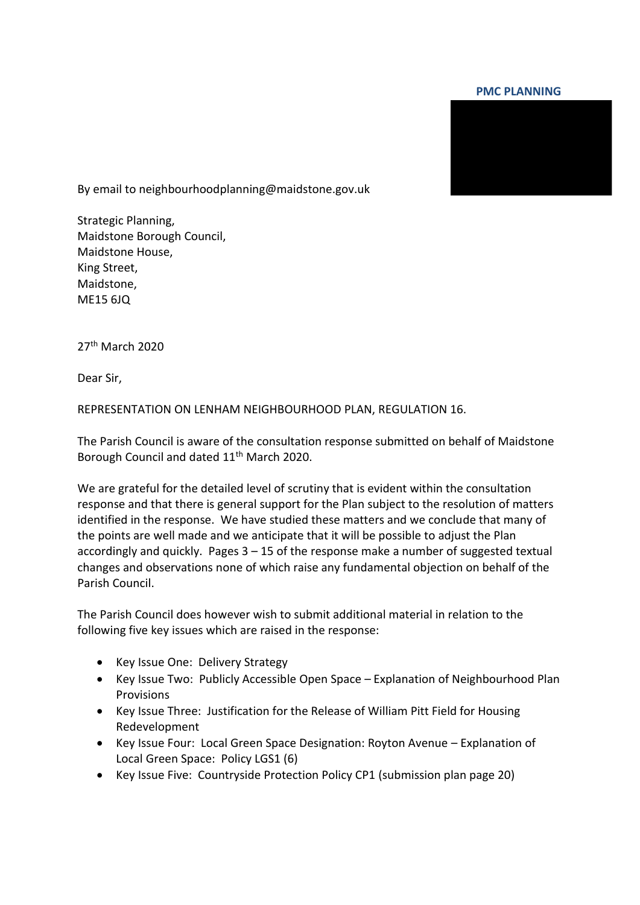## **PMC PLANNING**



By email to neighbourhoodplanning@maidstone.gov.uk

Strategic Planning, Maidstone Borough Council, Maidstone House, King Street, Maidstone, ME15 6JQ

27th March 2020

Dear Sir,

REPRESENTATION ON LENHAM NEIGHBOURHOOD PLAN, REGULATION 16.

The Parish Council is aware of the consultation response submitted on behalf of Maidstone Borough Council and dated 11<sup>th</sup> March 2020.

We are grateful for the detailed level of scrutiny that is evident within the consultation response and that there is general support for the Plan subject to the resolution of matters identified in the response. We have studied these matters and we conclude that many of the points are well made and we anticipate that it will be possible to adjust the Plan accordingly and quickly. Pages  $3 - 15$  of the response make a number of suggested textual changes and observations none of which raise any fundamental objection on behalf of the Parish Council.

The Parish Council does however wish to submit additional material in relation to the following five key issues which are raised in the response:

- Key Issue One: Delivery Strategy
- Key Issue Two: Publicly Accessible Open Space Explanation of Neighbourhood Plan **Provisions**
- Key Issue Three: Justification for the Release of William Pitt Field for Housing Redevelopment
- Key Issue Four: Local Green Space Designation: Royton Avenue Explanation of Local Green Space: Policy LGS1 (6)
- Key Issue Five: Countryside Protection Policy CP1 (submission plan page 20)